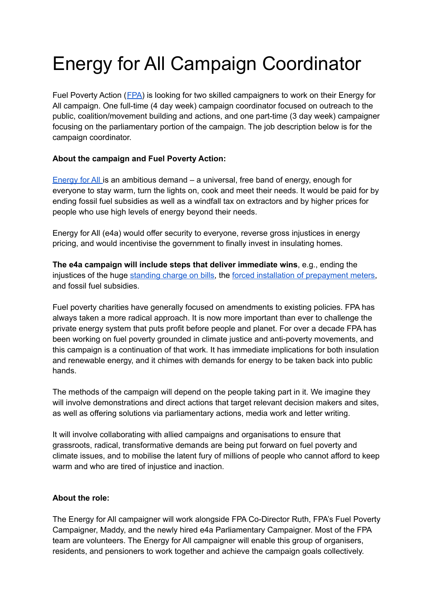# Energy for All Campaign Coordinator

Fuel Poverty Action ([FPA\)](https://www.fuelpovertyaction.org.uk/) is looking for two skilled campaigners to work on their Energy for All campaign. One full-time (4 day week) campaign coordinator focused on outreach to the public, coalition/movement building and actions, and one part-time (3 day week) campaigner focusing on the parliamentary portion of the campaign. The job description below is for the campaign coordinator.

### **About the campaign and Fuel Poverty Action:**

[Energy](https://www.change.org/p/energyforall-everyone-has-a-right-to-the-energy-needed-for-heating-cooking-and-light) for All is an ambitious demand – a universal, free band of energy, enough for everyone to stay warm, turn the lights on, cook and meet their needs. It would be paid for by ending fossil fuel subsidies as well as a windfall tax on extractors and by higher prices for people who use high levels of energy beyond their needs.

Energy for All (e4a) would offer security to everyone, reverse gross injustices in energy pricing, and would incentivise the government to finally invest in insulating homes.

**The e4a campaign will include steps that deliver immediate wins**, e.g., ending the injustices of the huge [standing](https://www.fuelpovertyaction.org.uk/press-release/press-release-fpa-tells-ofgem-standing-charge-discrimination-must-stop-now/) charge on bills, the forced installation of [prepayment](https://www.fuelpovertyaction.org.uk/campaigns/heat-and-light-are-basic-rights-energy-customers-need-the-same-rights-and-protections-as-domestic-water-customers-and-we-need-it-now/) meters, and fossil fuel subsidies.

Fuel poverty charities have generally focused on amendments to existing policies. FPA has always taken a more radical approach. It is now more important than ever to challenge the private energy system that puts profit before people and planet. For over a decade FPA has been working on fuel poverty grounded in climate justice and anti-poverty movements, and this campaign is a continuation of that work. It has immediate implications for both insulation and renewable energy, and it chimes with demands for energy to be taken back into public hands.

The methods of the campaign will depend on the people taking part in it. We imagine they will involve demonstrations and direct actions that target relevant decision makers and sites, as well as offering solutions via parliamentary actions, media work and letter writing.

It will involve collaborating with allied campaigns and organisations to ensure that grassroots, radical, transformative demands are being put forward on fuel poverty and climate issues, and to mobilise the latent fury of millions of people who cannot afford to keep warm and who are tired of injustice and inaction.

#### **About the role:**

The Energy for All campaigner will work alongside FPA Co-Director Ruth, FPA's Fuel Poverty Campaigner, Maddy, and the newly hired e4a Parliamentary Campaigner. Most of the FPA team are volunteers. The Energy for All campaigner will enable this group of organisers, residents, and pensioners to work together and achieve the campaign goals collectively.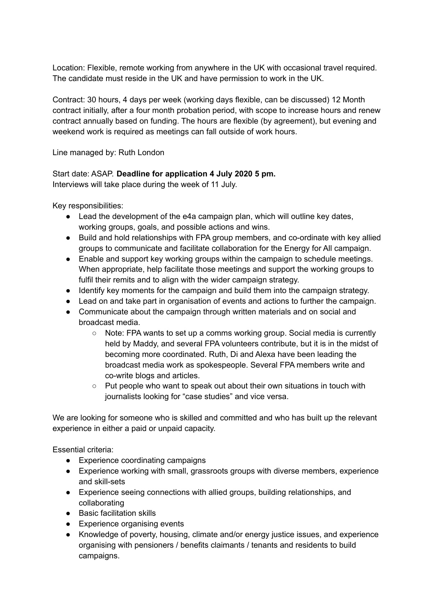Location: Flexible, remote working from anywhere in the UK with occasional travel required. The candidate must reside in the UK and have permission to work in the UK.

Contract: 30 hours, 4 days per week (working days flexible, can be discussed) 12 Month contract initially, after a four month probation period, with scope to increase hours and renew contract annually based on funding. The hours are flexible (by agreement), but evening and weekend work is required as meetings can fall outside of work hours.

Line managed by: Ruth London

### Start date: ASAP. **Deadline for application 4 July 2020 5 pm.**

Interviews will take place during the week of 11 July.

Key responsibilities:

- Lead the development of the e4a campaign plan, which will outline key dates, working groups, goals, and possible actions and wins.
- Build and hold relationships with FPA group members, and co-ordinate with key allied groups to communicate and facilitate collaboration for the Energy for All campaign.
- Enable and support key working groups within the campaign to schedule meetings. When appropriate, help facilitate those meetings and support the working groups to fulfil their remits and to align with the wider campaign strategy.
- Identify key moments for the campaign and build them into the campaign strategy.
- Lead on and take part in organisation of events and actions to further the campaign.
- Communicate about the campaign through written materials and on social and broadcast media.
	- $\circ$  Note: FPA wants to set up a comms working group. Social media is currently held by Maddy, and several FPA volunteers contribute, but it is in the midst of becoming more coordinated. Ruth, Di and Alexa have been leading the broadcast media work as spokespeople. Several FPA members write and co-write blogs and articles.
	- Put people who want to speak out about their own situations in touch with journalists looking for "case studies" and vice versa.

We are looking for someone who is skilled and committed and who has built up the relevant experience in either a paid or unpaid capacity.

Essential criteria:

- Experience coordinating campaigns
- Experience working with small, grassroots groups with diverse members, experience and skill-sets
- Experience seeing connections with allied groups, building relationships, and collaborating
- Basic facilitation skills
- Experience organising events
- Knowledge of poverty, housing, climate and/or energy justice issues, and experience organising with pensioners / benefits claimants / tenants and residents to build campaigns.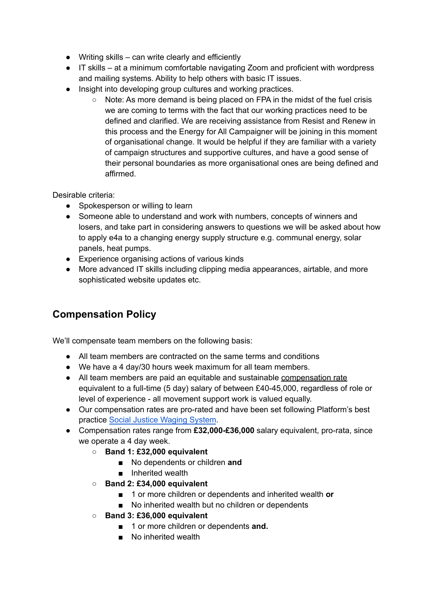- $\bullet$  Writing skills can write clearly and efficiently
- IT skills at a minimum comfortable navigating Zoom and proficient with wordpress and mailing systems. Ability to help others with basic IT issues.
- Insight into developing group cultures and working practices.
	- Note: As more demand is being placed on FPA in the midst of the fuel crisis we are coming to terms with the fact that our working practices need to be defined and clarified. We are receiving assistance from Resist and Renew in this process and the Energy for All Campaigner will be joining in this moment of organisational change. It would be helpful if they are familiar with a variety of campaign structures and supportive cultures, and have a good sense of their personal boundaries as more organisational ones are being defined and affirmed.

### Desirable criteria:

- Spokesperson or willing to learn
- Someone able to understand and work with numbers, concepts of winners and losers, and take part in considering answers to questions we will be asked about how to apply e4a to a changing energy supply structure e.g. communal energy, solar panels, heat pumps.
- Experience organising actions of various kinds
- More advanced IT skills including clipping media appearances, airtable, and more sophisticated website updates etc.

## **Compensation Policy**

We'll compensate team members on the following basis:

- All team members are contracted on the same terms and conditions
- We have a 4 day/30 hours week maximum for all team members.
- All team members are paid an equitable and sustainable compensation rate equivalent to a full-time (5 day) salary of between £40-45,000, regardless of role or level of experience - all movement support work is valued equally.
- Our compensation rates are pro-rated and have been set following Platform's best practice Social Justice [Waging](https://platformlondon.org/wp-content/uploads/2011/09/social-justice-waging-system-dec-2005.pdf) System.
- Compensation rates range from **£32,000-£36,000** salary equivalent, pro-rata, since we operate a 4 day week.
	- **Band 1: £32,000 equivalent**
		- No dependents or children **and**
		- Inherited wealth
	- **Band 2: £34,000 equivalent**
		- 1 or more children or dependents and inherited wealth **or**
		- No inherited wealth but no children or dependents
	- **Band 3: £36,000 equivalent**
		- 1 or more children or dependents **and.**
		- No inherited wealth